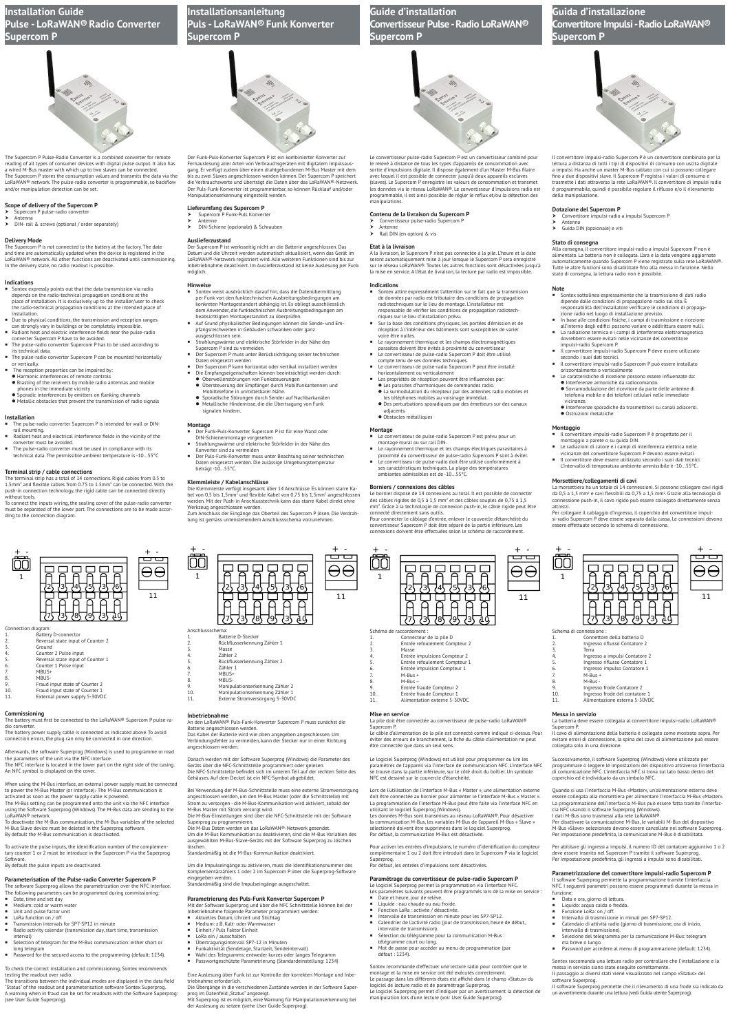The Supercom P Pulse-Radio Converter is a combined converter for remote reading of all types of consumer devices with digital pulse output. It also has a wired M-Bus master with which up to two slaves can be connected. The Supercom P stores the consumption values and transmits the data via the LoRaWAN® network. The pulse-radio converter is programmable, so backflow and/or manipulation detection can be set.

#### **Scope of delivery of the Supercom P**  Supercom P pulse-radio converter

- Antenna
- DIN- rail & screws (optional / order separately)

#### **Delivery Mode**

The Supercom P is not connected to the battery at the factory. The date and time are automatically updated when the device is registered in the LoRaWAN® network. All other functions are deactivated until commissioning. In the delivery state, no radio readout is possible.

#### **Indications**

- Sontex expressly points out that the data transmission via radio depends on the radio-technical propagation conditions at the place of installation. It is exclusively up to the installer/user to check the radio-technical propagation conditions at the intended place of installation.
- Due to physical conditions, the transmission and reception ranges can strongly vary in buildings or be completely impossible. Radiant heat and electric interference fields near the pulse-radio
- converter Supercom P have to be avoided. ■ The pulse-radio converter Supercom P has to be used according to
- its technical data. ■ The pulse-radio converter Supercom P can be mounted horizontally
- or vertically. The reception properties can be impaired by:  $\bullet$  Harmonic interferences of remote controls Blasting of the receivers by mobile radio antennas and mobile
- phones in the immediate vicinity Sporadic interferences by emitters on flanking channels Metallic obstacles that prevent the transmission of radio signals
- 

- Battery D-connector Reversal state input of Counter 2 3. Ground 4. Counter 2 Pulse input 5. Reversal state input of Counter 1 6. Counter 1 Pulse input MBUS+ MBUS-. . . . . .<br>Fraud input state of Counter 2
- 10. Fraud input state of Counter 1<br>11. External power supply 5-30VD 11. External power supply 5-30VDC

## **Installation**

- The pulse-radio converter Supercom P is intended for wall or DIN rail mounting. Radiant heat and electrical interference fields in the vicinity of the converter must be avoided.
- The pulse-radio converter must be used in compliance with its
- technical data. The permissible ambient temperature is -10...55°C

**Terminal strip / cable connections**<br>The terminal strip has a total of 14 connections. Rigid cables from 0.5 to<br>1.5mm<sup>2</sup> and flexible cables from 0.75 to 1.5mm<sup>2</sup> can be connected. With the push-in connection technology, the rigid cable can be connected directly .<br>without tools.

- $\blacksquare$  Date, time and set day
- Medium: cold or warm wate
- Unit and pulse factor unit
- LoRa function on / off
- Transmission intervals for SP7-SP12 in minute
- Radio activity calendar (transmission day, start time, transmission interval)
- Selection of telegram for the M-Bus communication: either short or long telegram Password for the secured access to the programming (default: 1234).
- 

To connect the inputs wiring, the sealing cover of the pulse-radio converter must be separated of the lower part. The connections are to be made according to the connection diagram.

## **Commissioning**

The battery must first be connected to the LoRaWAN® Supercom P pulse-radio converter.

The battery power supply cable is connected as indicated above. To avoid connection errors, the plug can only be connected in one direction.

Afterwards, the software Superprog (Windows) is used to programme or read the parameters of the unit via the NFC interface. The NFC interface is located in the lower part on the right side of the casing. An NFC symbol is displayed on the cover.

When using the M-Bus interface, an external power supply must be connected to power the M-Bus Master (or interface). The M-Bus communication is activated as soon as the power supply cable is powered.

- **Montage** Der Funk-Puls-Konverter Supercom P ist für eine Wand oder DIN-Schienenmontage vorgesehen
- Strahlungswärme und elektrische Störfelder in der Nähe des
- Konverter sind zu vermeiden
- Der Puls-Funk-Konverter muss unter Beachtung seiner technischen<br>Daten eingesetzt werden. Die zulässige Umgebungstemperatur<br>beträgt -10…55°C.

The M-Bus setting can be programmed onto the unit via the NFC interface using the Software Superprog (Windows). The M-Bus data are sending to the LoRaWAN® network.

Die Klemmleiste verfügt insgesamt über 14 Anschlüsse. Es können starre Ka-<br>bel von 0,5 bis 1,5mm<sup>2</sup> und flexible Kabel von 0,75 bis 1,5mm<sup>2</sup> angeschlossen werden. Mit der Push-in Anschlusstechnik kann das starre Kabel direkt ohne Werkzeug angeschlossen werden.

To deactivate the M-Bus communication, the M-Bus variables of the selected M-Bus Slave device must be deleted in the Superprog software. By default the M-Bus communication is deactivated.

Batterie D-Stecker 2. Rückflusserkennung Zähler 1

Masse 4. Zähler 2

To activate the pulse inputs, the identification number of the complementary counter 1 or 2 must be introduce in the Supercom P via the Superprog Software.

Zähler 1 MBUS+ MBUS-9. Manipulationserkennung Zähler 2<br>10. Manipulationserkennung Zähler 1 Manipulationserkennung Zähler 1 11. Externe Stromversorgung 5-30VDC

By default the pulse inputs are deactivated.

#### **Parameterisation of the Pulse-radio Converter Supercom P**

The software Superprog allows the parametrization over the NFC interface. The following parameters can be programmed during commissioning:

To check the correct installation and commissioning, Sontex recommends

testing the readout over radio. The transitions between the individual modes are displayed in the data field "Status" of the readout and parameterisation software Sontex Superprog. A warning when in fraud can be set for readouts with the Software Superprog: (see User Guide Superprog).

# **Installation Guide Pulse - LoRaWAN®Radio Converter Supercom P**



prog im Datenfeld "Status" angezeigt.<br>Mit Superprog ist es möglich, eine Warnung für Manipulationserkennung bei der Auslesung zu setzen (siehe User Guide Superprog).

Der Funk-Puls-Konverter Supercom P ist ein kombinierter Konverter zur Fernauslesung aller Arten von Verbrauchsgeräten mit digitalem Impulsaus-gang. Er verfügt zudem über einen drahtgebundenen M-Bus Master mit dem bis zu zwei Slaves angeschlossen werden können. Der Supercom P speichert die Verbrauchswerte und überträgt die Daten über das LoRaWAN®-Netzwerk. Der Puls-Funk-Konverter ist programmierbar, so können Rücklauf und/oder Manipulationserkennung eingestellt werden.

## **Lieferumfang des Supercom P**

- Supercom P Funk-Puls Konverter
- Antenne DIN-Schiene (opzionale) & Schrauben

#### **Auslieferzustand**

Der Supercom P ist werksseitig nicht an die Batterie angeschlossen. Das Datum und die Uhrzeit werden automatisch aktualisiert, wenn das Gerät im LoRaWAN®-Netzwerk registriert wird. Alle weiteren Funktionen sind bis zur Inbetriebnahme deaktiviert. Im Auslieferzustand ist keine Auslesung per Funk möglich.

## **Hinweise**

- Sontex weist ausdrücklich darauf hin, dass die Datenübermittlung per Funk von den funktechnischen Ausbreitungsbedingungen am konkreten Montagestandort abhängig ist. Es obliegt ausschliesslich dem Anwender, die funktechnischen Ausbreitungsbedingungen am
- beabsichtigten Montagestandort zu überprüfen. Auf Grund physikalischer Bedingungen können die Sende- und Em pfangsreichweiten in Gebäuden schwanken oder ganz ausgeschlossen sein.
- Strahlungswärme und elektrische Störfelder in der Nähe des
- Supercom P sind zu vermeiden. Der Supercom P muss unter Berücksichtigung seiner technischen Daten eingesetzt werden Der Supercom P kann horizontal oder vertikal installiert werden
- Die Empfangseigenschaften können beeinträchtigt werden durch:<br>● Oberwellenstörungen von Funksteuerungen
- Übersteuerung der Empfänger durch Mobilfunkantennen und Mobiltelefone in unmittelbarer Nähe.
- Sporadische Störungen durch Sender auf Nachbarkanälen Metallische Hindernisse, die die Übertragung von Funk signalen hindern.



Le bornier dispose de 14 connexions au total. Il est possible de connecter<br>des câbles rigides de 0,5 à 1,5 mm<sup>2</sup> et des câbles souples de 0,75 à 1,5 mm2 . Grâce à la technologie de connexion push-in, le câble rigide peut être connecté directement sans outils.

Pour connecter le câblage d'entrée, enlever le couvercle d'étanchéité du<br>convertisseur Supercom P doit être séparé de la partie inférieure. Les<br>connexions doivent être effectuées selon le schéma de raccordement.

 $+$  -  $+$  -  $+$  -|<br>|<br>|  $\ominus\ominus$ 1 2} {3} {4} {5} {3 3 4 5 6 吕 11  $\subset$  $\Omega$  $\Omega$ 75 235 285 295 235 210 Schéma de raccordement 1. Connecteur de la pile D 2. Entrée refoulement Compteur 2 Masse

#### **Klemmleiste / Kabelanschlüsse**

Zum Anschluss der Eingänge das Oberteil des Supercom P lösen. Die Verdrah-tung ist gemäss untenstehendem Anschlussschema vorzunehmen.

 $+$  -  $+$  -  $+$  -

3} {4} {5} {3} {6

TOOO

8888

Anschlussschema:

5. Rückflusserkennung Zähler 2

25 235 245 255 23

 $\overline{\mathsf{D}}$ 

**Inbetriebnahme**

An den LoRaWAN® Puls-Funk-Konverter Supercom P muss zunächst die Batterie angeschlossen werden. Das Kabel der Batterie wird wie oben angegeben angeschlossen. Um Verbindungsfehler zu vermeiden, kann der Stecker nur in einer Richtung

angeschlossen werden.

Danach werden mit der Software Superprog (Windows) die Parameter des Geräts über die NFC-Schnittstelle programmiert oder gelesen.

Die NFC-Schnittstelle befindet sich im unteren Teil auf der rechten Seite des Gehäuses. Auf dem Deckel ist ein NFC-Symbol abgebildet.

Bei Verwendung der M-Bus-Schnittstelle muss eine externe Stromversorgung angeschlossen werden, um den M-Bus Master (oder die Schnittstelle) mit Strom zu versorgen - die M-Bus-Kommunikation wird aktiviert, sobald der M-Bus Master mit Strom versorgt wird.

Die M-Bus-Einstellungen sind über die NFC-Schnittstelle mit der Software Superprog zu programmieren.

Die M-Bus Daten werden an das LoRaWAN®-Netzwerk gesendet. Um die M-Bus Kommunikation zu deaktivieren, sind die M-Bus Variablen des ausgewählten M-Bus-Slave-Geräts mit der Software Superprog zu löschen löschen.

Standardmäßig ist die M-Bus-Kommunikation deaktivier

■ Il convertitore impulsi-radio Supercom P è progettato per il montaggio a parete o su guida DIN. Le radiazioni di calore e i campi di interferenza elettrica nelle vicinanze del convertitore Supercom P devono essere evitati. Il convertitore deve essere utilizzato secondo i suoi dati tecnici. L'intervallo di temperatura ambiente ammissibile è -10...55°C.

Um die Impulseingänge zu aktivieren, muss die Identifikationsnummer des Komplementärzählers 1 oder 2 im Supercom P über die Superprog-Software eingegeben werden. Standardmäßig sind die Impulseingänge ausgeschaltet.

La morsettiera ha un totale di 14 connessioni. Si possono collegare cavi rigidi<br>da 0,5 a 1,5 mm² e cavi flessibili da 0,75 a 1,5 mm². Grazie alla tecnologia di connessione push-in, il cavo rigido può essere collegato direttamente senza

#### **Parametrierung des Puls-Funk Konverter Supercom P**

Mit der Software Superprog und über die NFC Schnittstelle können bei der Inbetriebnahme folgende Parameter programmiert werden:

1. Connettore della batteria D 2. Ingresso riflusso Contatore 2

2} {3} {4} {5} {3

A Ĥ

<u>the state of the state of the state of the state of the state of the state of the state of the state of the state of the state of the state of the state of the state of the state of the state of the state of the state of </u>

7} {3} {8} {9} {3} {10

- 
- Aktuelles Datum, Uhrzeit und Stichtag Medium: z.B. Kalt- oder Warmwasser
- Einheit / Puls Faktor Einheit
- LoRa ein / ausschalten
- Übertragungsintervall SP7-12 in Minuten
- 
- Funkaktivität (Sendetage, Startzeit, Sendeintervall)<br>■ Wahl des Telegramms: entweder kurzes oder langes Telegramm
- Passwortgeschützte Parametrierung (Standardeinstellung: 1234)

Eine Auslesung über Funk ist zur Kontrolle der korrekten Montage und Inbetriebnahme erforderlich.

Die Übergänge in die verschiedenen Zustände werden in der Software Super-

**Installationsanleitung Puls - LoRaWAN®Funk Konverter Supercom P**



# **Guide d'installation Convertisseur Pulse - Radio LoRaWAN® Supercom P**



# **Guida d'installazione Convertitore Impulsi - Radio LoRaWAN® Supercom P**



11

1

3 8 9 7 3 10

11

 $\ominus \in$ 

- Data e ora, giorno di lettura
- Liquido: acqua calda o fredda. Funzione LoRa: on / off.
- 
- 
- Intervallo di trasmissione in minuti per SP7-SP12.<br>■ Calendaio di attività radio (giorno di trasmissione, ora di inizio, intervallo di trasmissione).
- Selezione del telegramma per la comunicazione M-Bus: telegram ma breve o lungo.
- Password per accedere al menu di programmazione (default: 1234).

Le convertisseur pulse-radio Supercom P est un convertisseur combiné pour le relevé à distance de tous les types d'appareils de consommation avec sortie d'impulsions digitale. Il dispose également d'un Master M-Bus filaire avec lequel il est possible de connecter jusqu'à deux appareils esclaves (slaves). Le Supercom P enregistre les valeurs de consommation et transmet les données via le réseau LoRaWAN®. Le convertisseur d'impulsions radio est programmable, il est ainsi possible de régler le reflux et/ou la détection des manipulations.

## **Contenu de la livraison du Supercom P**

- Convertisseur pulse-radio Supercom P Antenne
- Rail DIN (en option) & vis

# **Etat à la livraison**

A la livraison, le Supercom P n'est pas connectée à la pile. L'heure et la date seront automatiquement mise à jour lorsque le Supercom P sera enregistré sur le réseau LoRaWAN®. Toutes les autres fonctions sont désactivées jusqu'à la mise en service. A l'état de livraison, la lecture par radio est impossible.

#### **Indications**

- Sontex attire expressément l'attention sur le fait que la transmision de données par radio est tributaire des conditions de propagation radiotechniques sur le lieu de montage. L'installateur est responsable de vérifier les conditions de propagation radiotech-
- niques sur le lieu d'installation prévu. Sur la base des conditions physiques, les portées d'émission et de réception à l'intérieur des bâtiments sont susceptibles de varier voire être nulles.
- Le rayonnement thermique et les champs électromagnétiques
- parasites doivent être évités à proximité du convertisseur Le convertisseur de pulse-radio Supercom P doit être utilisé compte tenu de ses données techniques.
- Le convertisseur de pulse-radio Supercom P peut être installé horizontalement ou verticalement
- Les propriétés de réception peuvent être influencées par: Les parasites d'harmoniques de commandes radio.
- La surmodulation du récepteur par des antennes radio mobiles et les téléphones mobiles au voisinage immédiat.
- Des perturbations sporadiques par des émetteurs sur des canaux adjacents. Obstacles métalliques

- **Montage** Le convertisseur de pulse-radio Supercom P est prévu pour un montage mural ou sur rail DIN.
- Le rayonnement thermique et les champs électriques parasitaires à proximité du convertisseur de pulse-radio Supercom P sont à éviter. Le convertisseur de pulse-radio doit être utilisé conformément à ses caractéristiques techniques. La plage des températures ambiantes admissibles est de -10...55°C.

#### **Borniers / connexions des câbles**

- 4. Entrée impulsions Compteur 2
- 5. Entrée refoulement Compteur 1 6. Entrée impulsion Compteur 1
- M-Bus +
- M-Bus -
- 9. Entrée fraude Compteur 2<br>10. Entrée fraude Compteur 1<br>11. Alimentation externe 5-30
- 10. Entrée fraude Compteur 1 11. Alimentation externe 5-30VDC

# **Mise en service** La pile doit être connectée au convertisseur de pulse-radio LoRaWAN®

Supercom P. Le câble d'alimentation de la pile est connecté comme indiqué ci-dessus. Pour éviter des erreurs de branchement, la fiche du câble d'alimentation ne peut être connectée que dans un seul sens.

Le logiciel Superprog (Windows) est utilisé pour programmer ou lire les paramètres de l'appareil via l'interface de communication NFC. L'interface NFC se trouve dans la partie inférieure, sur le côté droit du boîtier. Un symbole NFC est dessiné sur le couvercle d'étanchéité.

Lors de l'utilisation de l'interface M-Bus « Master », une alimentation externe doit être connectée au bornier pour alimenter le l'interface M-Bus « Master ». La programmation de l'interface M-Bus peut être faite via l'interface NFC en utilisant le logiciel Superprog (Windows).

Les données M-Bus sont transmises au réseau LoRaWAN®. Pour désactiver la communication M-Bus, les variables M-Bus de l'appareil M-Bus « Slave » sélectionné doivent être supprimées dans le logiciel Superprog. Par défaut, la communication M-Bus est désactivée.

Pour activer les entrées d'impulsions, le numéro d'identification du compteur complémentaire 1 ou 2 doit être introduit dans le Supercom P via le logiciel Superprog.

Par défaut, les entrées d'impulsions sont désactivées.

### **Paramétrage du convertisseur de pulse-radio Supercom P**

Le logiciel Superprog permet la programmation via l'interface NFC. Les paramètres suivants peuvent être programmés lors de la mise en service : Date et heure, jour de relève.

- 
- Liquide : eau chaude ou eau froide.
- Fonction LoRa : activée / désactivée.
- Intervalle de transmission en minute pour les SP7-SP12.
- Calendrier de l'activité radio (jour de transmission, heure de début, intervalle de transmission).
- Sélection du télégramme pour la communication M-Bus : télégramme court ou long.
- Mot de passe pour accéder au menu de programmation (par défaut : 1234).

Sontex recommande d'effectuer une lecture radio pour contrôler que le montage et la mise en service ont été exécutés correctement. Le passage dans les différents états est affiché dans le champ «Status» du logiciel de lecture radio et de paramétrage Superprog. Le logiciel Superprog permet d'indiquer par un avertissement la détection de manipulation lors d'une lecture (voir User Guide Superprog).

Il convertitore impulsi-radio Supercom P è un convertitore combinato per la lettura a distanza di tutti i tipi di dispositivi di consumo con uscita digitale a impulsi. Ha anche un master M-Bus cablato con cui si possono collegare fino a due dispositivi slave. Il Supercom P registra i valori di consumo e trasmette i dati attraverso la rete LoRaWAN®. Il convertitore di impulsi radio è programmabile, quindi è possibile regolare il riflusso e/o il rileva della manipolazione.

#### **Dotazione del Supercom P**

- Convertitore impulsi-radio a impulsi Supercom P
- Antenna Guida DIN (opzionale) e viti

## **Stato di consegna**

Alla consegna, il convertitore impulsi-radio a impulsi Supercom P non è alimentato. La batteria non è collegata. L'ora e la data vengono aggiornate automaticamente quando Supercom P viene registrato sulla rete LoRaWAN®. Tutte le altre funzioni sono disabilitate fino alla messa in funzione. Nello stato di consegna, la lettura radio non è possibile.

- **Note** Sontex sottolinea espressamente che la trasmissione di dati radio dipende dalle condizioni di propagazione radio sul sito. È responsabilità dell'installatore verificare le condizioni di propaga-
- zione radio nel luogo di installazione previsto. In base alle condizioni fisiche, i campi di trasmissione e ricezione all'interno degli edifici possono variare o addirittura essere nulli. La radiazione termica e i campi di interferenza elettromagnetica dovrebbero essere evitati nelle vicinanze del convertitore

impulsi-radio Supercom P.

Il convertitore impulsi-radio Supercom P deve essere utilizzato

■ Il convertitore impulsi-radio Supercom P può essere installato

secondo i suoi dati tecnici.

orizzontalmente o verticalmente

■ Interferenze armoniche da radiocomando.

Le caratteristiche di ricezione possono essere influenzate da:

 Sovramodulazione del ricevitore da parte delle antenne di telefonia mobile e dei telefoni cellulari nelle immediate

vicinanze.

Interferenze sporadiche da trasmettitori su canali adiacenti.

Ostruzioni metalliche

**Montaggio**

**Morsettiere/collegamenti di cavi**

attrezzi.

Per collegare il cablaggio d'ingresso, il coperchio del convertitore impulsi-radio Supercom P deve essere separato dalla cassa. Le connessioni devono essere effettuate secondo lo schema di connessione.

 $+$  -  $+$  -  $+$  -  $+$  -

000000

3} {4} {5} {3} {6

 $\Box$ 

3. Terra

4. Ingresso a impulsi Contatore 2

5. Ingresso riflusso Contatore 1 6. Ingresso impulso Contatore 1  $M-Bus +$ M-Bus -9. Ingresso frode Contatore 2<br>10. Ingresso frode del contator<br>11. Alimentazione esterna 5-30 10. Ingresso frode del contatore 1 11. Alimentazione esterna 5-30VDC

**Messa in servizio** La batteria deve essere collegata al convertitore impulsi-radio LoRaWAN®

Supercom P.

Il cavo di alimentazione della batteria è collegato come mostrato sopra. Per evitare errori di connessione, la spina del cavo di alimentazione può essere

collegata solo in una direzione.

Successivamente, il software Superprog (Windows) viene utilizzato per programmare o leggere le impostazioni del dispositivo attraverso l'interfaccia di comunicazione NFC. L'interfaccia NFC si trova sul lato basso destro del coperchio ed è individuato da un simbolo NFC.

Quando si usa l'interfaccia M-Bus «Master», un'alimentazione esterna deve essere collegata alla morsettiera per alimentare l'interfaccia M-Bus «Master». La programmazione dell'interfaccia M-Bus può essere fatta tramite l'interfac-cia NFC usando il software Superprog (Windows). I dati M-Bus sono trasmessi alla rete LoRaWAN®. Per disattivare la comunicazione M-Bus, le variabili M-Bus del dispositivo M-Bus «Slave» selezionato devono essere cancellate nel software Superprog. Per impostazione predefinita, la comunicazione M-Bus è disabilitata.

Per abilitare gli ingressi a impulsi, il numero ID del contatore aggiuntivo 1 o 2 deve essere inserito nel Supercom P tramite il software Superprogramme deve essere inserito nel Supercom P tramite il software Superp Per impostazione predefinita, gli ingressi a impulsi sono disabilitati.

### **Parametrizzazione del convertitore impulsi-radio Supercom P**

Il software Superprog permette la programmazione tramite l'interfaccia NFC. I seguenti parametri possono essere programmati durante la messa in funzione:

Sontex raccomanda una lettura radio per controllare che l'installazione e la messa in servizio siano state eseguite correttamente. Il passaggio ai diversi stati viene visualizzato nel campo «Status» del

software Superprog.

Il software Superprog permette che il rilevamento di una frode sia indicato da un avvertimento durante una lettura (vedi Guida utente Superprog).

1

Schema di connessione

11

ЭE